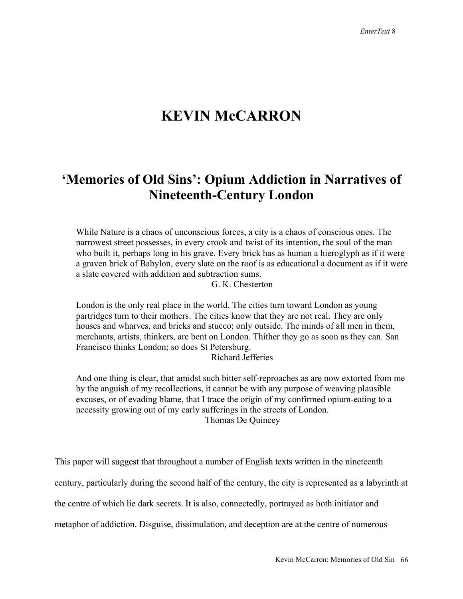## **KEVIN McCARRON**

## **'Memories of Old Sins': Opium Addiction in Narratives of Nineteenth-Century London**

While Nature is a chaos of unconscious forces, a city is a chaos of conscious ones. The narrowest street possesses, in every crook and twist of its intention, the soul of the man who built it, perhaps long in his grave. Every brick has as human a hieroglyph as if it were a graven brick of Babylon, every slate on the roof is as educational a document as if it were a slate covered with addition and subtraction sums.

G. K. Chesterton

London is the only real place in the world. The cities turn toward London as young partridges turn to their mothers. The cities know that they are not real. They are only houses and wharves, and bricks and stucco; only outside. The minds of all men in them, merchants, artists, thinkers, are bent on London. Thither they go as soon as they can. San Francisco thinks London; so does St Petersburg.

Richard Jefferies

And one thing is clear, that amidst such bitter self-reproaches as are now extorted from me by the anguish of my recollections, it cannot be with any purpose of weaving plausible excuses, or of evading blame, that I trace the origin of my confirmed opium-eating to a necessity growing out of my early sufferings in the streets of London. Thomas De Quincey

This paper will suggest that throughout a number of English texts written in the nineteenth century, particularly during the second half of the century, the city is represented as a labyrinth at the centre of which lie dark secrets. It is also, connectedly, portrayed as both initiator and metaphor of addiction. Disguise, dissimulation, and deception are at the centre of numerous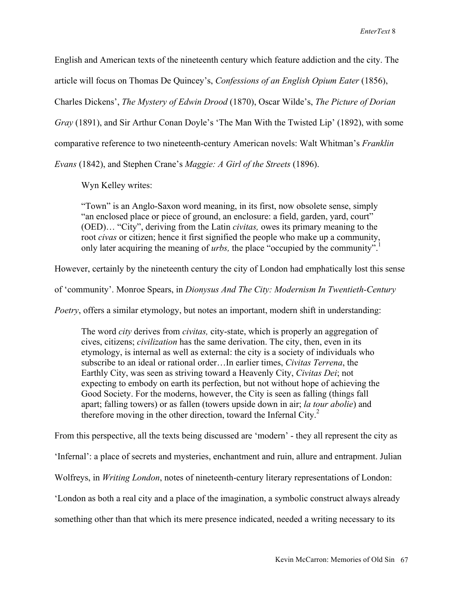English and American texts of the nineteenth century which feature addiction and the city. The article will focus on Thomas De Quincey's, *Confessions of an English Opium Eater* (1856), Charles Dickens', *The Mystery of Edwin Drood* (1870), Oscar Wilde's, *The Picture of Dorian Gray* (1891), and Sir Arthur Conan Doyle's 'The Man With the Twisted Lip' (1892), with some comparative reference to two nineteenth-century American novels: Walt Whitman's *Franklin Evans* (1842), and Stephen Crane's *Maggie: A Girl of the Streets* (1896).

Wyn Kelley writes:

"Town" is an Anglo-Saxon word meaning, in its first, now obsolete sense, simply "an enclosed place or piece of ground, an enclosure: a field, garden, yard, court" (OED)… "City", deriving from the Latin *civitas,* owes its primary meaning to the root *civas* or citizen; hence it first signified the people who make up a community, only later acquiring the meaning of *urbs*, the place "occupied by the community".<sup>1</sup>

However, certainly by the nineteenth century the city of London had emphatically lost this sense

of 'community'. Monroe Spears, in *Dionysus And The City: Modernism In Twentieth-Century* 

*Poetry*, offers a similar etymology, but notes an important, modern shift in understanding:

The word *city* derives from *civitas,* city-state, which is properly an aggregation of cives, citizens; *civilization* has the same derivation. The city, then, even in its etymology, is internal as well as external: the city is a society of individuals who subscribe to an ideal or rational order…In earlier times, *Civitas Terrena*, the Earthly City, was seen as striving toward a Heavenly City, *Civitas Dei*; not expecting to embody on earth its perfection, but not without hope of achieving the Good Society. For the moderns, however, the City is seen as falling (things fall apart; falling towers) or as fallen (towers upside down in air; *la tour abolie*) and therefore moving in the other direction, toward the Infernal City. 2

From this perspective, all the texts being discussed are 'modern' - they all represent the city as

'Infernal': a place of secrets and mysteries, enchantment and ruin, allure and entrapment. Julian

Wolfreys, in *Writing London*, notes of nineteenth-century literary representations of London:

'London as both a real city and a place of the imagination, a symbolic construct always already

something other than that which its mere presence indicated, needed a writing necessary to its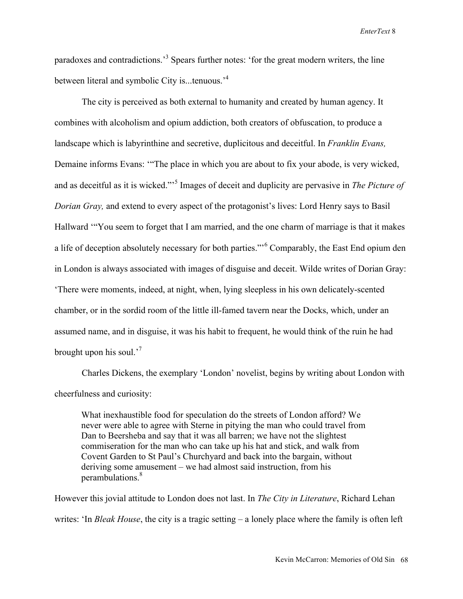paradoxes and contradictions.<sup>3</sup> Spears further notes: 'for the great modern writers, the line between literal and symbolic City is...tenuous.<sup>4</sup>

The city is perceived as both external to humanity and created by human agency. It combines with alcoholism and opium addiction, both creators of obfuscation, to produce a landscape which is labyrinthine and secretive, duplicitous and deceitful. In *Franklin Evans,* Demaine informs Evans: '"The place in which you are about to fix your abode, is very wicked, and as deceitful as it is wicked."'5 Images of deceit and duplicity are pervasive in *The Picture of Dorian Gray,* and extend to every aspect of the protagonist's lives: Lord Henry says to Basil Hallward '"You seem to forget that I am married, and the one charm of marriage is that it makes a life of deception absolutely necessary for both parties."<sup>6</sup> Comparably, the East End opium den in London is always associated with images of disguise and deceit. Wilde writes of Dorian Gray: 'There were moments, indeed, at night, when, lying sleepless in his own delicately-scented chamber, or in the sordid room of the little ill-famed tavern near the Docks, which, under an assumed name, and in disguise, it was his habit to frequent, he would think of the ruin he had brought upon his soul.'7

Charles Dickens, the exemplary 'London' novelist, begins by writing about London with cheerfulness and curiosity:

What inexhaustible food for speculation do the streets of London afford? We never were able to agree with Sterne in pitying the man who could travel from Dan to Beersheba and say that it was all barren; we have not the slightest commiseration for the man who can take up his hat and stick, and walk from Covent Garden to St Paul's Churchyard and back into the bargain, without deriving some amusement – we had almost said instruction, from his perambulations.<sup>8</sup>

However this jovial attitude to London does not last. In *The City in Literature*, Richard Lehan writes: 'In *Bleak House*, the city is a tragic setting – a lonely place where the family is often left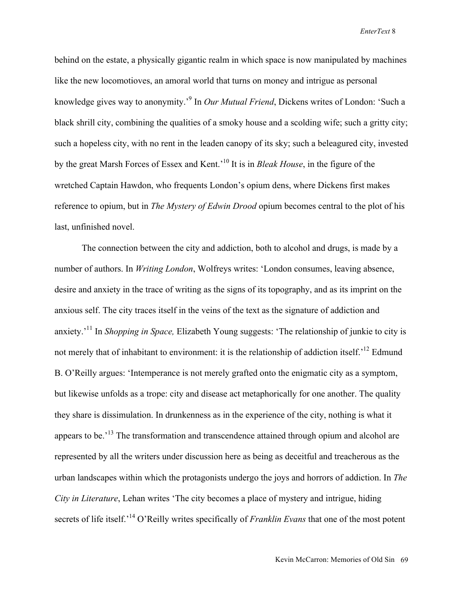behind on the estate, a physically gigantic realm in which space is now manipulated by machines like the new locomotioves, an amoral world that turns on money and intrigue as personal knowledge gives way to anonymity.' <sup>9</sup> In *Our Mutual Friend*, Dickens writes of London: 'Such a black shrill city, combining the qualities of a smoky house and a scolding wife; such a gritty city; such a hopeless city, with no rent in the leaden canopy of its sky; such a beleagured city, invested by the great Marsh Forces of Essex and Kent.' 10 It is in *Bleak House*, in the figure of the wretched Captain Hawdon, who frequents London's opium dens, where Dickens first makes reference to opium, but in *The Mystery of Edwin Drood* opium becomes central to the plot of his last, unfinished novel.

The connection between the city and addiction, both to alcohol and drugs, is made by a number of authors. In *Writing London*, Wolfreys writes: 'London consumes, leaving absence, desire and anxiety in the trace of writing as the signs of its topography, and as its imprint on the anxious self. The city traces itself in the veins of the text as the signature of addiction and anxiety.' 11 In *Shopping in Space,* Elizabeth Young suggests: 'The relationship of junkie to city is not merely that of inhabitant to environment: it is the relationship of addiction itself.<sup>12</sup> Edmund B. O'Reilly argues: 'Intemperance is not merely grafted onto the enigmatic city as a symptom, but likewise unfolds as a trope: city and disease act metaphorically for one another. The quality they share is dissimulation. In drunkenness as in the experience of the city, nothing is what it appears to be.<sup>13</sup> The transformation and transcendence attained through opium and alcohol are represented by all the writers under discussion here as being as deceitful and treacherous as the urban landscapes within which the protagonists undergo the joys and horrors of addiction. In *The City in Literature*, Lehan writes 'The city becomes a place of mystery and intrigue, hiding secrets of life itself.<sup>14</sup> O'Reilly writes specifically of *Franklin Evans* that one of the most potent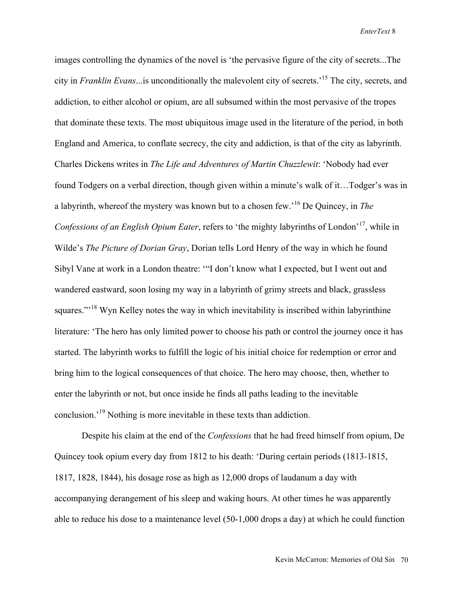images controlling the dynamics of the novel is 'the pervasive figure of the city of secrets...The city in *Franklin Evans*...is unconditionally the malevolent city of secrets.'15 The city, secrets, and addiction, to either alcohol or opium, are all subsumed within the most pervasive of the tropes that dominate these texts. The most ubiquitous image used in the literature of the period, in both England and America, to conflate secrecy, the city and addiction, is that of the city as labyrinth. Charles Dickens writes in *The Life and Adventures of Martin Chuzzlewit*: 'Nobody had ever found Todgers on a verbal direction, though given within a minute's walk of it…Todger's was in a labyrinth, whereof the mystery was known but to a chosen few.'16 De Quincey, in *The Confessions of an English Opium Eater*, refers to 'the mighty labyrinths of London'17, while in Wilde's *The Picture of Dorian Gray*, Dorian tells Lord Henry of the way in which he found Sibyl Vane at work in a London theatre: '"I don't know what I expected, but I went out and wandered eastward, soon losing my way in a labyrinth of grimy streets and black, grassless squares."<sup>18</sup> Wyn Kelley notes the way in which inevitability is inscribed within labyrinthine literature: 'The hero has only limited power to choose his path or control the journey once it has started. The labyrinth works to fulfill the logic of his initial choice for redemption or error and bring him to the logical consequences of that choice. The hero may choose, then, whether to enter the labyrinth or not, but once inside he finds all paths leading to the inevitable conclusion.<sup>19</sup> Nothing is more inevitable in these texts than addiction.

Despite his claim at the end of the *Confessions* that he had freed himself from opium, De Quincey took opium every day from 1812 to his death: 'During certain periods (1813-1815, 1817, 1828, 1844), his dosage rose as high as 12,000 drops of laudanum a day with accompanying derangement of his sleep and waking hours. At other times he was apparently able to reduce his dose to a maintenance level (50-1,000 drops a day) at which he could function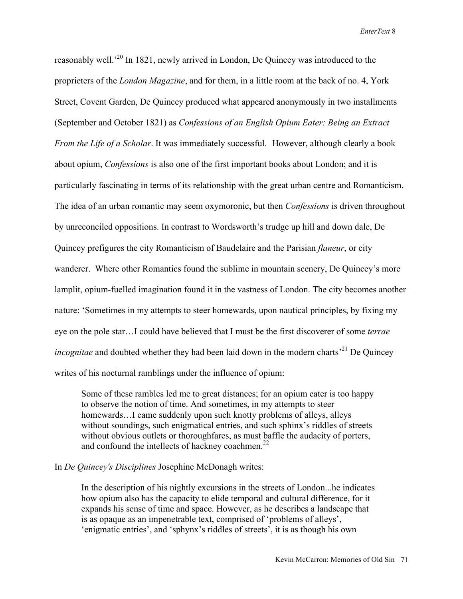reasonably well.<sup>20</sup> In 1821, newly arrived in London, De Quincey was introduced to the proprieters of the *London Magazine*, and for them, in a little room at the back of no. 4, York Street, Covent Garden, De Quincey produced what appeared anonymously in two installments (September and October 1821) as *Confessions of an English Opium Eater: Being an Extract From the Life of a Scholar*. It was immediately successful. However, although clearly a book about opium, *Confessions* is also one of the first important books about London; and it is particularly fascinating in terms of its relationship with the great urban centre and Romanticism. The idea of an urban romantic may seem oxymoronic, but then *Confessions* is driven throughout by unreconciled oppositions. In contrast to Wordsworth's trudge up hill and down dale, De Quincey prefigures the city Romanticism of Baudelaire and the Parisian *flaneur*, or city wanderer. Where other Romantics found the sublime in mountain scenery, De Quincey's more lamplit, opium-fuelled imagination found it in the vastness of London. The city becomes another nature: 'Sometimes in my attempts to steer homewards, upon nautical principles, by fixing my eye on the pole star…I could have believed that I must be the first discoverer of some *terrae incognitae* and doubted whether they had been laid down in the modern charts<sup>'21</sup> De Quincey writes of his nocturnal ramblings under the influence of opium:

Some of these rambles led me to great distances; for an opium eater is too happy to observe the notion of time. And sometimes, in my attempts to steer homewards…I came suddenly upon such knotty problems of alleys, alleys without soundings, such enigmatical entries, and such sphinx's riddles of streets without obvious outlets or thoroughfares, as must baffle the audacity of porters, and confound the intellects of hackney coachmen. $^{22}$ 

## In *De Quincey's Disciplines* Josephine McDonagh writes:

In the description of his nightly excursions in the streets of London...he indicates how opium also has the capacity to elide temporal and cultural difference, for it expands his sense of time and space. However, as he describes a landscape that is as opaque as an impenetrable text, comprised of 'problems of alleys', 'enigmatic entries', and 'sphynx's riddles of streets', it is as though his own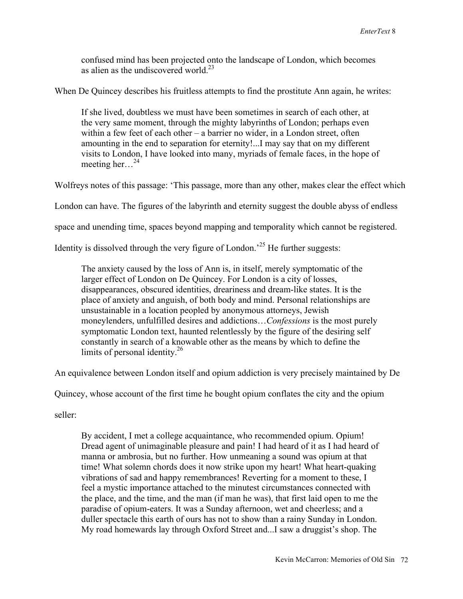confused mind has been projected onto the landscape of London, which becomes as alien as the undiscovered world. $^{23}$ 

When De Quincey describes his fruitless attempts to find the prostitute Ann again, he writes:

If she lived, doubtless we must have been sometimes in search of each other, at the very same moment, through the mighty labyrinths of London; perhaps even within a few feet of each other – a barrier no wider, in a London street, often amounting in the end to separation for eternity!...I may say that on my different visits to London, I have looked into many, myriads of female faces, in the hope of meeting her... $^{24}$ 

Wolfreys notes of this passage: 'This passage, more than any other, makes clear the effect which

London can have. The figures of the labyrinth and eternity suggest the double abyss of endless

space and unending time, spaces beyond mapping and temporality which cannot be registered.

Identity is dissolved through the very figure of London.<sup> $25$ </sup> He further suggests:

The anxiety caused by the loss of Ann is, in itself, merely symptomatic of the larger effect of London on De Quincey. For London is a city of losses, disappearances, obscured identities, dreariness and dream-like states. It is the place of anxiety and anguish, of both body and mind. Personal relationships are unsustainable in a location peopled by anonymous attorneys, Jewish moneylenders, unfulfilled desires and addictions…*Confessions* is the most purely symptomatic London text, haunted relentlessly by the figure of the desiring self constantly in search of a knowable other as the means by which to define the limits of personal identity.<sup>26</sup>

An equivalence between London itself and opium addiction is very precisely maintained by De

Quincey, whose account of the first time he bought opium conflates the city and the opium

seller:

By accident, I met a college acquaintance, who recommended opium. Opium! Dread agent of unimaginable pleasure and pain! I had heard of it as I had heard of manna or ambrosia, but no further. How unmeaning a sound was opium at that time! What solemn chords does it now strike upon my heart! What heart-quaking vibrations of sad and happy remembrances! Reverting for a moment to these, I feel a mystic importance attached to the minutest circumstances connected with the place, and the time, and the man (if man he was), that first laid open to me the paradise of opium-eaters. It was a Sunday afternoon, wet and cheerless; and a duller spectacle this earth of ours has not to show than a rainy Sunday in London. My road homewards lay through Oxford Street and...I saw a druggist's shop. The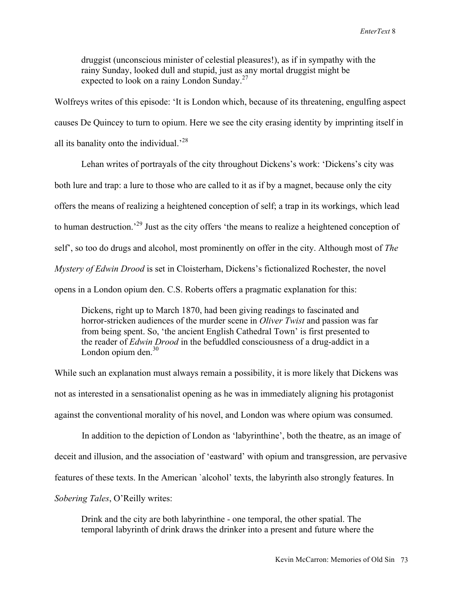druggist (unconscious minister of celestial pleasures!), as if in sympathy with the rainy Sunday, looked dull and stupid, just as any mortal druggist might be expected to look on a rainy London Sunday.<sup>27</sup>

Wolfreys writes of this episode: 'It is London which, because of its threatening, engulfing aspect causes De Quincey to turn to opium. Here we see the city erasing identity by imprinting itself in all its banality onto the individual.<sup> $28$ </sup>

Lehan writes of portrayals of the city throughout Dickens's work: 'Dickens's city was both lure and trap: a lure to those who are called to it as if by a magnet, because only the city offers the means of realizing a heightened conception of self; a trap in its workings, which lead to human destruction.<sup>29</sup> Just as the city offers 'the means to realize a heightened conception of self', so too do drugs and alcohol, most prominently on offer in the city. Although most of *The Mystery of Edwin Drood* is set in Cloisterham, Dickens's fictionalized Rochester, the novel opens in a London opium den. C.S. Roberts offers a pragmatic explanation for this:

Dickens, right up to March 1870, had been giving readings to fascinated and horror-stricken audiences of the murder scene in *Oliver Twist* and passion was far from being spent. So, 'the ancient English Cathedral Town' is first presented to the reader of *Edwin Drood* in the befuddled consciousness of a drug-addict in a London opium den. $30$ 

While such an explanation must always remain a possibility, it is more likely that Dickens was not as interested in a sensationalist opening as he was in immediately aligning his protagonist against the conventional morality of his novel, and London was where opium was consumed.

In addition to the depiction of London as 'labyrinthine', both the theatre, as an image of deceit and illusion, and the association of 'eastward' with opium and transgression, are pervasive features of these texts. In the American `alcohol' texts, the labyrinth also strongly features. In *Sobering Tales*, O'Reilly writes:

Drink and the city are both labyrinthine - one temporal, the other spatial. The temporal labyrinth of drink draws the drinker into a present and future where the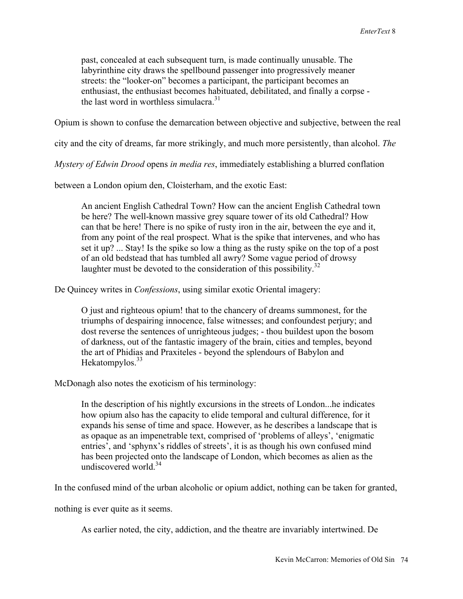past, concealed at each subsequent turn, is made continually unusable. The labyrinthine city draws the spellbound passenger into progressively meaner streets: the "looker-on" becomes a participant, the participant becomes an enthusiast, the enthusiast becomes habituated, debilitated, and finally a corpse the last word in worthless simulacra.<sup>31</sup>

Opium is shown to confuse the demarcation between objective and subjective, between the real

city and the city of dreams, far more strikingly, and much more persistently, than alcohol. *The* 

*Mystery of Edwin Drood* opens *in media res*, immediately establishing a blurred conflation

between a London opium den, Cloisterham, and the exotic East:

An ancient English Cathedral Town? How can the ancient English Cathedral town be here? The well-known massive grey square tower of its old Cathedral? How can that be here! There is no spike of rusty iron in the air, between the eye and it, from any point of the real prospect. What is the spike that intervenes, and who has set it up? ... Stay! Is the spike so low a thing as the rusty spike on the top of a post of an old bedstead that has tumbled all awry? Some vague period of drowsy laughter must be devoted to the consideration of this possibility.<sup>32</sup>

De Quincey writes in *Confessions*, using similar exotic Oriental imagery:

O just and righteous opium! that to the chancery of dreams summonest, for the triumphs of despairing innocence, false witnesses; and confoundest perjury; and dost reverse the sentences of unrighteous judges; - thou buildest upon the bosom of darkness, out of the fantastic imagery of the brain, cities and temples, beyond the art of Phidias and Praxiteles - beyond the splendours of Babylon and Hekatompylos.<sup>33</sup>

McDonagh also notes the exoticism of his terminology:

In the description of his nightly excursions in the streets of London...he indicates how opium also has the capacity to elide temporal and cultural difference, for it expands his sense of time and space. However, as he describes a landscape that is as opaque as an impenetrable text, comprised of 'problems of alleys', 'enigmatic entries', and 'sphynx's riddles of streets', it is as though his own confused mind has been projected onto the landscape of London, which becomes as alien as the undiscovered world.<sup>34</sup>

In the confused mind of the urban alcoholic or opium addict, nothing can be taken for granted,

nothing is ever quite as it seems.

As earlier noted, the city, addiction, and the theatre are invariably intertwined. De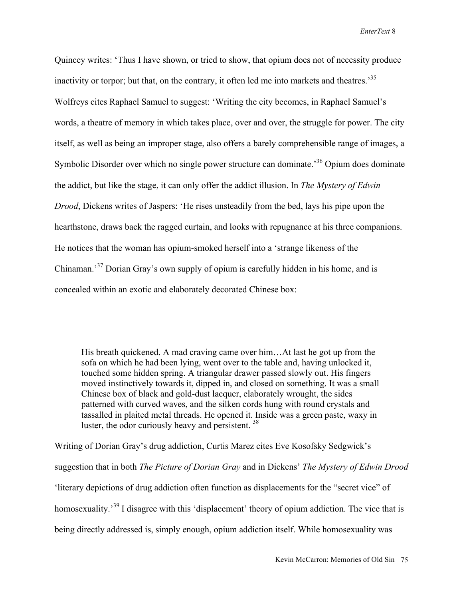Quincey writes: 'Thus I have shown, or tried to show, that opium does not of necessity produce inactivity or torpor; but that, on the contrary, it often led me into markets and theatres.<sup>35</sup> Wolfreys cites Raphael Samuel to suggest: 'Writing the city becomes, in Raphael Samuel's words, a theatre of memory in which takes place, over and over, the struggle for power. The city itself, as well as being an improper stage, also offers a barely comprehensible range of images, a Symbolic Disorder over which no single power structure can dominate.<sup>36</sup> Opium does dominate the addict, but like the stage, it can only offer the addict illusion. In *The Mystery of Edwin Drood*, Dickens writes of Jaspers: 'He rises unsteadily from the bed, lays his pipe upon the hearthstone, draws back the ragged curtain, and looks with repugnance at his three companions. He notices that the woman has opium-smoked herself into a 'strange likeness of the Chinaman.<sup>37</sup> Dorian Gray's own supply of opium is carefully hidden in his home, and is concealed within an exotic and elaborately decorated Chinese box:

His breath quickened. A mad craving came over him…At last he got up from the sofa on which he had been lying, went over to the table and, having unlocked it, touched some hidden spring. A triangular drawer passed slowly out. His fingers moved instinctively towards it, dipped in, and closed on something. It was a small Chinese box of black and gold-dust lacquer, elaborately wrought, the sides patterned with curved waves, and the silken cords hung with round crystals and tassalled in plaited metal threads. He opened it. Inside was a green paste, waxy in luster, the odor curiously heavy and persistent.<sup>38</sup>

Writing of Dorian Gray's drug addiction, Curtis Marez cites Eve Kosofsky Sedgwick's suggestion that in both *The Picture of Dorian Gray* and in Dickens' *The Mystery of Edwin Drood* 'literary depictions of drug addiction often function as displacements for the "secret vice" of homosexuality.<sup>39</sup> I disagree with this 'displacement' theory of opium addiction. The vice that is being directly addressed is, simply enough, opium addiction itself. While homosexuality was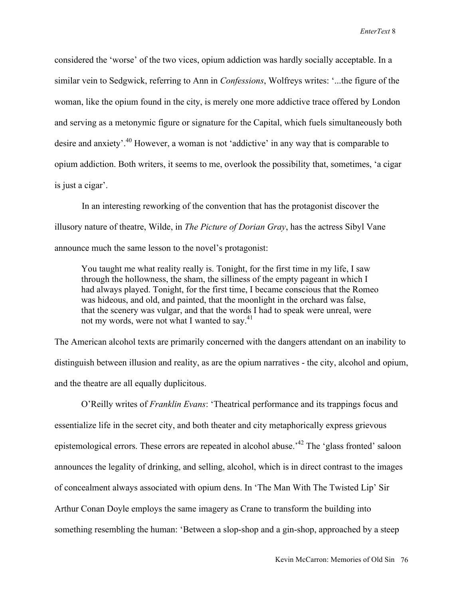considered the 'worse' of the two vices, opium addiction was hardly socially acceptable. In a similar vein to Sedgwick, referring to Ann in *Confessions*, Wolfreys writes: '...the figure of the woman, like the opium found in the city, is merely one more addictive trace offered by London and serving as a metonymic figure or signature for the Capital, which fuels simultaneously both desire and anxiety'.<sup>40</sup> However, a woman is not 'addictive' in any way that is comparable to opium addiction. Both writers, it seems to me, overlook the possibility that, sometimes, 'a cigar is just a cigar'.

In an interesting reworking of the convention that has the protagonist discover the illusory nature of theatre, Wilde, in *The Picture of Dorian Gray*, has the actress Sibyl Vane announce much the same lesson to the novel's protagonist:

You taught me what reality really is. Tonight, for the first time in my life, I saw through the hollowness, the sham, the silliness of the empty pageant in which I had always played. Tonight, for the first time, I became conscious that the Romeo was hideous, and old, and painted, that the moonlight in the orchard was false, that the scenery was vulgar, and that the words I had to speak were unreal, were not my words, were not what I wanted to sav.<sup>41</sup>

The American alcohol texts are primarily concerned with the dangers attendant on an inability to distinguish between illusion and reality, as are the opium narratives - the city, alcohol and opium, and the theatre are all equally duplicitous.

O'Reilly writes of *Franklin Evans*: 'Theatrical performance and its trappings focus and essentialize life in the secret city, and both theater and city metaphorically express grievous epistemological errors. These errors are repeated in alcohol abuse.<sup>42</sup> The 'glass fronted' saloon announces the legality of drinking, and selling, alcohol, which is in direct contrast to the images of concealment always associated with opium dens. In 'The Man With The Twisted Lip' Sir Arthur Conan Doyle employs the same imagery as Crane to transform the building into something resembling the human: 'Between a slop-shop and a gin-shop, approached by a steep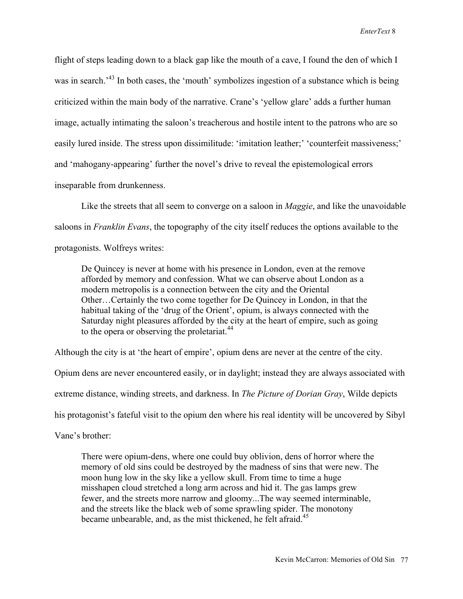flight of steps leading down to a black gap like the mouth of a cave, I found the den of which I was in search.<sup>43</sup> In both cases, the 'mouth' symbolizes ingestion of a substance which is being criticized within the main body of the narrative. Crane's 'yellow glare' adds a further human image, actually intimating the saloon's treacherous and hostile intent to the patrons who are so easily lured inside. The stress upon dissimilitude: 'imitation leather;' 'counterfeit massiveness;' and 'mahogany-appearing' further the novel's drive to reveal the epistemological errors inseparable from drunkenness.

Like the streets that all seem to converge on a saloon in *Maggie*, and like the unavoidable saloons in *Franklin Evans*, the topography of the city itself reduces the options available to the protagonists. Wolfreys writes:

De Quincey is never at home with his presence in London, even at the remove afforded by memory and confession. What we can observe about London as a modern metropolis is a connection between the city and the Oriental Other…Certainly the two come together for De Quincey in London, in that the habitual taking of the 'drug of the Orient', opium, is always connected with the Saturday night pleasures afforded by the city at the heart of empire, such as going to the opera or observing the proletariat.<sup>44</sup>

Although the city is at 'the heart of empire', opium dens are never at the centre of the city.

Opium dens are never encountered easily, or in daylight; instead they are always associated with

extreme distance, winding streets, and darkness. In *The Picture of Dorian Gray*, Wilde depicts

his protagonist's fateful visit to the opium den where his real identity will be uncovered by Sibyl

Vane's brother:

There were opium-dens, where one could buy oblivion, dens of horror where the memory of old sins could be destroyed by the madness of sins that were new. The moon hung low in the sky like a yellow skull. From time to time a huge misshapen cloud stretched a long arm across and hid it. The gas lamps grew fewer, and the streets more narrow and gloomy...The way seemed interminable, and the streets like the black web of some sprawling spider. The monotony became unbearable, and, as the mist thickened, he felt afraid.<sup>45</sup>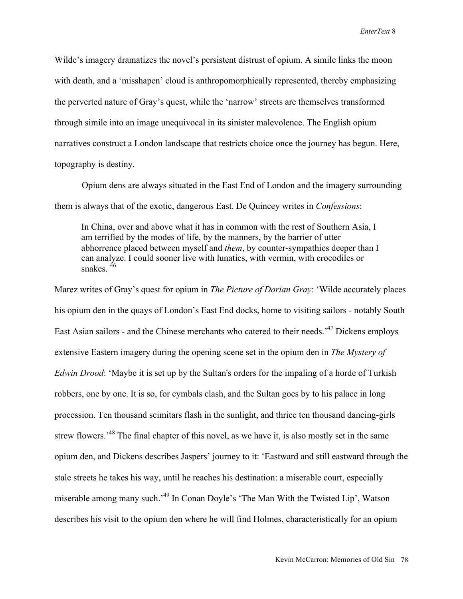Wilde's imagery dramatizes the novel's persistent distrust of opium. A simile links the moon with death, and a 'misshapen' cloud is anthropomorphically represented, thereby emphasizing the perverted nature of Gray's quest, while the 'narrow' streets are themselves transformed through simile into an image unequivocal in its sinister malevolence. The English opium narratives construct a London landscape that restricts choice once the journey has begun. Here, topography is destiny.

Opium dens are always situated in the East End of London and the imagery surrounding them is always that of the exotic, dangerous East. De Quincey writes in *Confessions*:

In China, over and above what it has in common with the rest of Southern Asia, I am terrified by the modes of life, by the manners, by the barrier of utter abhorrence placed between myself and *them*, by counter-sympathies deeper than I can analyze. I could sooner live with lunatics, with vermin, with crocodiles or snakes.  $46$ 

Marez writes of Gray's quest for opium in *The Picture of Dorian Gray*: 'Wilde accurately places his opium den in the quays of London's East End docks, home to visiting sailors - notably South East Asian sailors - and the Chinese merchants who catered to their needs.<sup>47</sup> Dickens employs extensive Eastern imagery during the opening scene set in the opium den in *The Mystery of Edwin Drood*: 'Maybe it is set up by the Sultan's orders for the impaling of a horde of Turkish robbers, one by one. It is so, for cymbals clash, and the Sultan goes by to his palace in long procession. Ten thousand scimitars flash in the sunlight, and thrice ten thousand dancing-girls strew flowers.<sup>48</sup> The final chapter of this novel, as we have it, is also mostly set in the same opium den, and Dickens describes Jaspers' journey to it: 'Eastward and still eastward through the stale streets he takes his way, until he reaches his destination: a miserable court, especially miserable among many such.<sup>49</sup> In Conan Doyle's 'The Man With the Twisted Lip', Watson describes his visit to the opium den where he will find Holmes, characteristically for an opium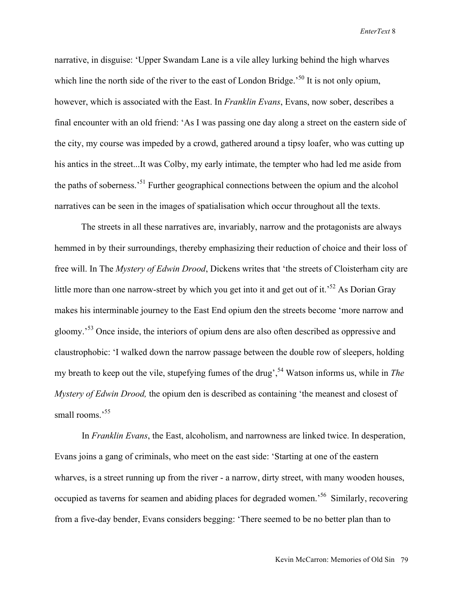narrative, in disguise: 'Upper Swandam Lane is a vile alley lurking behind the high wharves which line the north side of the river to the east of London Bridge.<sup>50</sup> It is not only opium, however, which is associated with the East. In *Franklin Evans*, Evans, now sober, describes a final encounter with an old friend: 'As I was passing one day along a street on the eastern side of the city, my course was impeded by a crowd, gathered around a tipsy loafer, who was cutting up his antics in the street...It was Colby, my early intimate, the tempter who had led me aside from the paths of soberness.<sup>51</sup> Further geographical connections between the opium and the alcohol narratives can be seen in the images of spatialisation which occur throughout all the texts.

The streets in all these narratives are, invariably, narrow and the protagonists are always hemmed in by their surroundings, thereby emphasizing their reduction of choice and their loss of free will. In The *Mystery of Edwin Drood*, Dickens writes that 'the streets of Cloisterham city are little more than one narrow-street by which you get into it and get out of it.<sup>52</sup> As Dorian Gray makes his interminable journey to the East End opium den the streets become 'more narrow and gloomy.<sup>53</sup> Once inside, the interiors of opium dens are also often described as oppressive and claustrophobic: 'I walked down the narrow passage between the double row of sleepers, holding my breath to keep out the vile, stupefying fumes of the drug', 54 Watson informs us, while in *The Mystery of Edwin Drood,* the opium den is described as containing 'the meanest and closest of small rooms.'<sup>55</sup>

In *Franklin Evans*, the East, alcoholism, and narrowness are linked twice. In desperation, Evans joins a gang of criminals, who meet on the east side: 'Starting at one of the eastern wharves, is a street running up from the river - a narrow, dirty street, with many wooden houses, occupied as taverns for seamen and abiding places for degraded women.<sup>56</sup> Similarly, recovering from a five-day bender, Evans considers begging: 'There seemed to be no better plan than to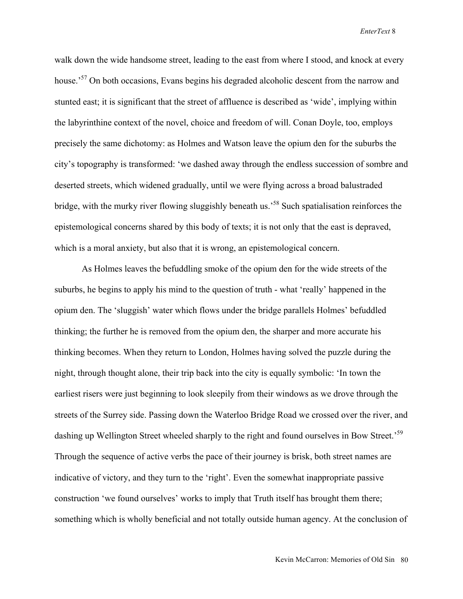walk down the wide handsome street, leading to the east from where I stood, and knock at every house.<sup>57</sup> On both occasions, Evans begins his degraded alcoholic descent from the narrow and stunted east; it is significant that the street of affluence is described as 'wide', implying within the labyrinthine context of the novel, choice and freedom of will. Conan Doyle, too, employs precisely the same dichotomy: as Holmes and Watson leave the opium den for the suburbs the city's topography is transformed: 'we dashed away through the endless succession of sombre and deserted streets, which widened gradually, until we were flying across a broad balustraded bridge, with the murky river flowing sluggishly beneath us.<sup>58</sup> Such spatialisation reinforces the epistemological concerns shared by this body of texts; it is not only that the east is depraved, which is a moral anxiety, but also that it is wrong, an epistemological concern.

As Holmes leaves the befuddling smoke of the opium den for the wide streets of the suburbs, he begins to apply his mind to the question of truth - what 'really' happened in the opium den. The 'sluggish' water which flows under the bridge parallels Holmes' befuddled thinking; the further he is removed from the opium den, the sharper and more accurate his thinking becomes. When they return to London, Holmes having solved the puzzle during the night, through thought alone, their trip back into the city is equally symbolic: 'In town the earliest risers were just beginning to look sleepily from their windows as we drove through the streets of the Surrey side. Passing down the Waterloo Bridge Road we crossed over the river, and dashing up Wellington Street wheeled sharply to the right and found ourselves in Bow Street.<sup>59</sup> Through the sequence of active verbs the pace of their journey is brisk, both street names are indicative of victory, and they turn to the 'right'. Even the somewhat inappropriate passive construction 'we found ourselves' works to imply that Truth itself has brought them there; something which is wholly beneficial and not totally outside human agency. At the conclusion of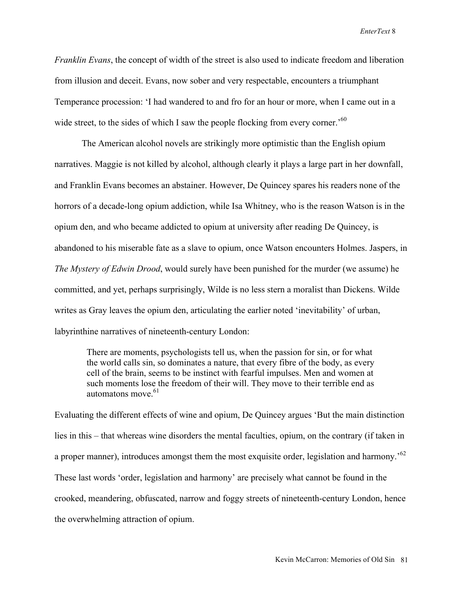*Franklin Evans*, the concept of width of the street is also used to indicate freedom and liberation from illusion and deceit. Evans, now sober and very respectable, encounters a triumphant Temperance procession: 'I had wandered to and fro for an hour or more, when I came out in a wide street, to the sides of which I saw the people flocking from every corner.<sup>560</sup>

The American alcohol novels are strikingly more optimistic than the English opium narratives. Maggie is not killed by alcohol, although clearly it plays a large part in her downfall, and Franklin Evans becomes an abstainer. However, De Quincey spares his readers none of the horrors of a decade-long opium addiction, while Isa Whitney, who is the reason Watson is in the opium den, and who became addicted to opium at university after reading De Quincey, is abandoned to his miserable fate as a slave to opium, once Watson encounters Holmes. Jaspers, in *The Mystery of Edwin Drood*, would surely have been punished for the murder (we assume) he committed, and yet, perhaps surprisingly, Wilde is no less stern a moralist than Dickens. Wilde writes as Gray leaves the opium den, articulating the earlier noted 'inevitability' of urban, labyrinthine narratives of nineteenth-century London:

There are moments, psychologists tell us, when the passion for sin, or for what the world calls sin, so dominates a nature, that every fibre of the body, as every cell of the brain, seems to be instinct with fearful impulses. Men and women at such moments lose the freedom of their will. They move to their terrible end as automatons move <sup>61</sup>

Evaluating the different effects of wine and opium, De Quincey argues 'But the main distinction lies in this – that whereas wine disorders the mental faculties, opium, on the contrary (if taken in a proper manner), introduces amongst them the most exquisite order, legislation and harmony.<sup>562</sup> These last words 'order, legislation and harmony' are precisely what cannot be found in the crooked, meandering, obfuscated, narrow and foggy streets of nineteenth-century London, hence the overwhelming attraction of opium.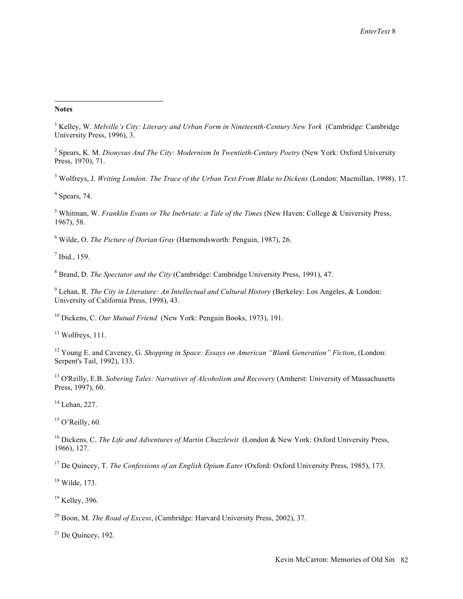## ÷, **Notes**

<sup>1</sup> Kelley, W. *Melville's City: Literary and Urban Form in Nineteenth-Century New York* (Cambridge: Cambridge University Press, 1996), 3.

2 Spears, K. M. *Dionysus And The City: Modernism In Twentieth-Century Poetry* (New York: Oxford University Press, 1970), 71.

<sup>3</sup> Wolfreys, J. *Writing London: The Trace of the Urban Text From Blake to Dickens* (London: Macmillan, 1998), 17.

 $<sup>4</sup>$  Spears, 74.</sup>

5 Whitman, W. *Franklin Evans or The Inebriate: a Tale of the Times* (New Haven: College & University Press, 1967), 58.

6 Wilde, O. *The Picture of Dorian Gray* (Harmondsworth: Penguin, 1987), 26.

 $<sup>7</sup>$  Ibid., 159.</sup>

8 Brand, D. *The Spectator and the City* (Cambridge: Cambridge University Press, 1991), 47.

<sup>9</sup> Lehan, R. *The City in Literature: An Intellectual and Cultural History* (Berkeley: Los Angeles, & London: University of California Press, 1998), 43.

10 Dickens, C. *Our Mutual Friend* (New York: Penguin Books, 1973), 191.

 $11$  Wolfreys, 111.

12 Young E. and Caveney, G. *Shopping in Space: Essays on American "Blank Generation" Fiction*, (London: Serpent's Tail, 1992), 133.

13 O'Reilly, E.B. *Sobering Tales: Narratives of Alcoholism and Recovery* (Amherst: University of Massachusetts Press, 1997), 60.

 $14$  Lehan, 227.

15 O'Reilly, 60*.*

16 Dickens, C. *The Life and Adventures of Martin Chuzzlewit* (London & New York: Oxford University Press, 1966), 127.

17 De Quincey, T. *The Confessions of an English Opium Eater* (Oxford: Oxford University Press, 1985), 173.

18 Wilde, 173.

<sup>19</sup> Kelley, 396.

20 Boon, M. *The Road of Excess*, (Cambridge: Harvard University Press, 2002), 37.

 $21$  De Ouincey, 192.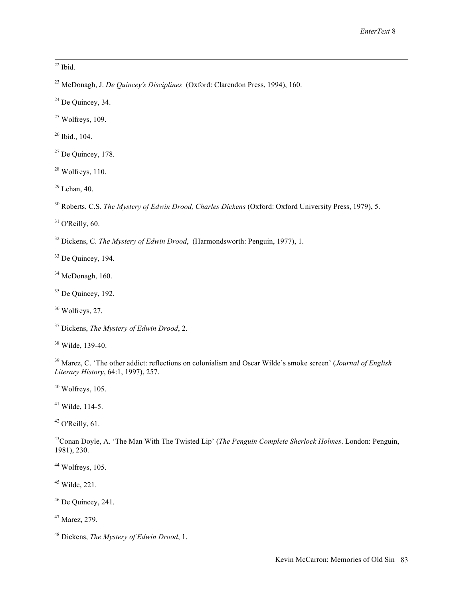$22$  Ibid.

- 23 McDonagh, J. *De Quincey's Disciplines* (Oxford: Clarendon Press, 1994), 160.
- $24$  De Quincey, 34.
- $25$  Wolfreys, 109.
- 26 Ibid., 104.
- $27$  De Quincey, 178.
- $28$  Wolfreys, 110.
- $29$  Lehan, 40.

30 Roberts, C.S. *The Mystery of Edwin Drood, Charles Dickens* (Oxford: Oxford University Press, 1979), 5.

 $31$  O'Reilly, 60.

32 Dickens, C. *The Mystery of Edwin Drood*, (Harmondsworth: Penguin, 1977), 1.

33 De Quincey, 194.

 $34$  McDonagh, 160.

35 De Quincey, 192.

36 Wolfreys, 27.

37 Dickens, *The Mystery of Edwin Drood*, 2.

<sup>38</sup> Wilde, 139-40.

39 Marez, C. 'The other addict: reflections on colonialism and Oscar Wilde's smoke screen' (*Journal of English Literary History*, 64:1, 1997), 257.

 $40$  Wolfreys, 105.

 $41$  Wilde, 114-5.

 $42$  O'Reilly, 61.

43Conan Doyle, A. 'The Man With The Twisted Lip' (*The Penguin Complete Sherlock Holmes*. London: Penguin, 1981), 230.

 $44$  Wolfreys, 105.

 $45$  Wilde, 221.

 $46$  De Quincey, 241.

47 Marez, 279.

48 Dickens, *The Mystery of Edwin Drood*, 1.